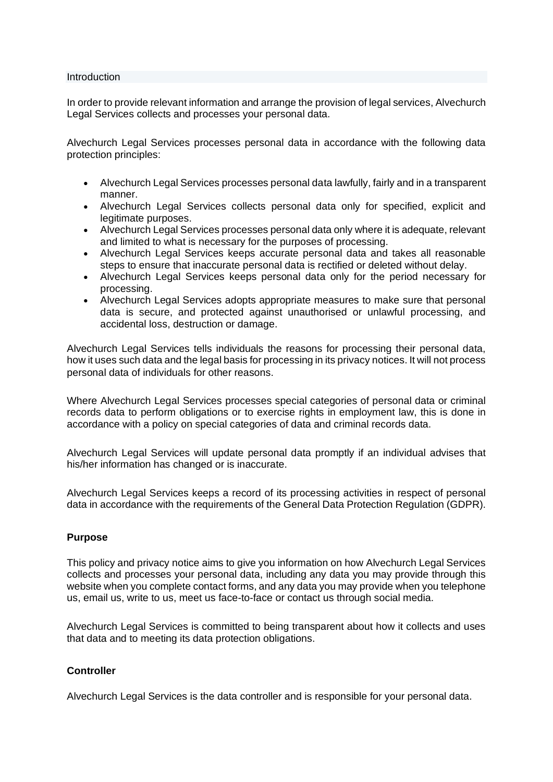#### Introduction

In order to provide relevant information and arrange the provision of legal services, Alvechurch Legal Services collects and processes your personal data.

Alvechurch Legal Services processes personal data in accordance with the following data protection principles:

- Alvechurch Legal Services processes personal data lawfully, fairly and in a transparent manner.
- Alvechurch Legal Services collects personal data only for specified, explicit and legitimate purposes.
- Alvechurch Legal Services processes personal data only where it is adequate, relevant and limited to what is necessary for the purposes of processing.
- Alvechurch Legal Services keeps accurate personal data and takes all reasonable steps to ensure that inaccurate personal data is rectified or deleted without delay.
- Alvechurch Legal Services keeps personal data only for the period necessary for processing.
- Alvechurch Legal Services adopts appropriate measures to make sure that personal data is secure, and protected against unauthorised or unlawful processing, and accidental loss, destruction or damage.

Alvechurch Legal Services tells individuals the reasons for processing their personal data, how it uses such data and the legal basis for processing in its privacy notices. It will not process personal data of individuals for other reasons.

Where Alvechurch Legal Services processes special categories of personal data or criminal records data to perform obligations or to exercise rights in employment law, this is done in accordance with a policy on special categories of data and criminal records data.

Alvechurch Legal Services will update personal data promptly if an individual advises that his/her information has changed or is inaccurate.

Alvechurch Legal Services keeps a record of its processing activities in respect of personal data in accordance with the requirements of the General Data Protection Regulation (GDPR).

## **Purpose**

This policy and privacy notice aims to give you information on how Alvechurch Legal Services collects and processes your personal data, including any data you may provide through this website when you complete contact forms, and any data you may provide when you telephone us, email us, write to us, meet us face-to-face or contact us through social media.

Alvechurch Legal Services is committed to being transparent about how it collects and uses that data and to meeting its data protection obligations.

# **Controller**

Alvechurch Legal Services is the data controller and is responsible for your personal data.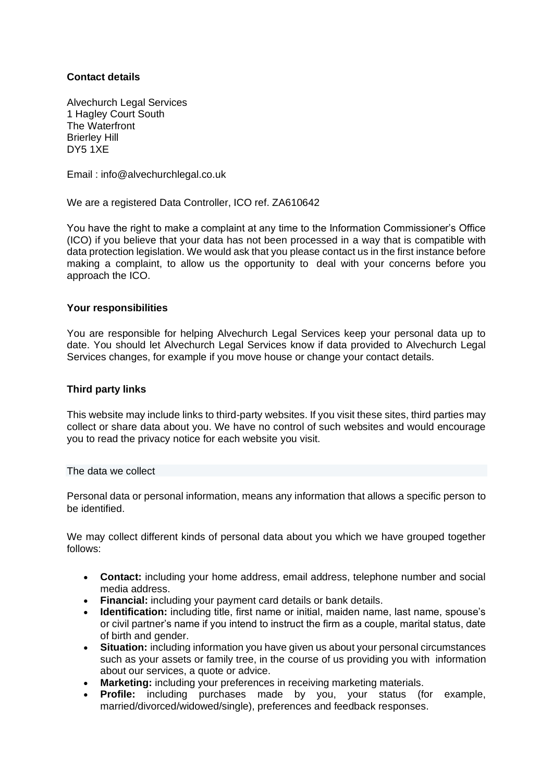# **Contact details**

Alvechurch Legal Services 1 Hagley Court South The Waterfront Brierley Hill DY5 1XE

Email : info@alvechurchlegal.co.uk

We are a registered Data Controller, ICO ref. ZA610642

You have the right to make a complaint at any time to the Information Commissioner's Office (ICO) if you believe that your data has not been processed in a way that is compatible with data protection legislation. We would ask that you please contact us in the first instance before making a complaint, to allow us the opportunity to deal with your concerns before you approach the ICO.

## **Your responsibilities**

You are responsible for helping Alvechurch Legal Services keep your personal data up to date. You should let Alvechurch Legal Services know if data provided to Alvechurch Legal Services changes, for example if you move house or change your contact details.

## **Third party links**

This website may include links to third-party websites. If you visit these sites, third parties may collect or share data about you. We have no control of such websites and would encourage you to read the privacy notice for each website you visit.

The data we collect

Personal data or personal information, means any information that allows a specific person to be identified.

We may collect different kinds of personal data about you which we have grouped together follows:

- **Contact:** including your home address, email address, telephone number and social media address.
- **Financial:** including your payment card details or bank details.
- **Identification:** including title, first name or initial, maiden name, last name, spouse's or civil partner's name if you intend to instruct the firm as a couple, marital status, date of birth and gender.
- **Situation:** including information you have given us about your personal circumstances such as your assets or family tree, in the course of us providing you with information about our services, a quote or advice.
- Marketing: including your preferences in receiving marketing materials.
- **Profile:** including purchases made by you, your status (for example, married/divorced/widowed/single), preferences and feedback responses.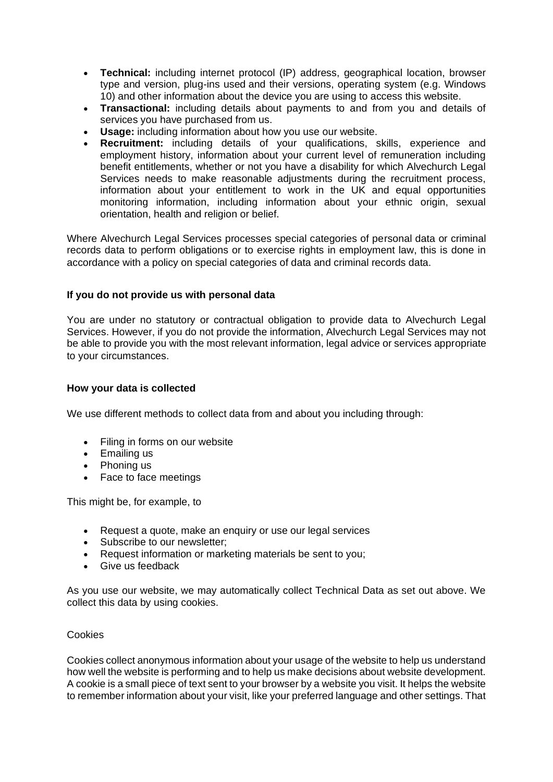- **Technical:** including internet protocol (IP) address, geographical location, browser type and version, plug-ins used and their versions, operating system (e.g. Windows 10) and other information about the device you are using to access this website.
- **Transactional:** including details about payments to and from you and details of services you have purchased from us.
- **Usage:** including information about how you use our website.
- **Recruitment:** including details of your qualifications, skills, experience and employment history, information about your current level of remuneration including benefit entitlements, whether or not you have a disability for which Alvechurch Legal Services needs to make reasonable adjustments during the recruitment process, information about your entitlement to work in the UK and equal opportunities monitoring information, including information about your ethnic origin, sexual orientation, health and religion or belief.

Where Alvechurch Legal Services processes special categories of personal data or criminal records data to perform obligations or to exercise rights in employment law, this is done in accordance with a policy on special categories of data and criminal records data.

# **If you do not provide us with personal data**

You are under no statutory or contractual obligation to provide data to Alvechurch Legal Services. However, if you do not provide the information, Alvechurch Legal Services may not be able to provide you with the most relevant information, legal advice or services appropriate to your circumstances.

# **How your data is collected**

We use different methods to collect data from and about you including through:

- Filing in forms on our website
- Emailing us
- Phoning us
- Face to face meetings

This might be, for example, to

- Request a quote, make an enquiry or use our legal services
- Subscribe to our newsletter;
- Request information or marketing materials be sent to you;
- Give us feedback

As you use our website, we may automatically collect Technical Data as set out above. We collect this data by using cookies.

## Cookies

Cookies collect anonymous information about your usage of the website to help us understand how well the website is performing and to help us make decisions about website development. A cookie is a small piece of text sent to your browser by a website you visit. It helps the website to remember information about your visit, like your preferred language and other settings. That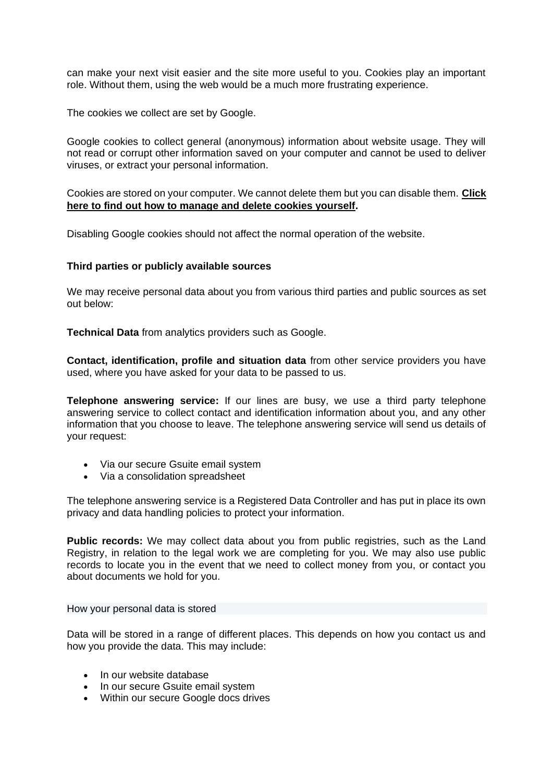can make your next visit easier and the site more useful to you. Cookies play an important role. Without them, using the web would be a much more frustrating experience.

The cookies we collect are set by Google.

Google cookies to collect general (anonymous) information about website usage. They will not read or corrupt other information saved on your computer and cannot be used to deliver viruses, or extract your personal information.

Cookies are stored on your computer. We cannot delete them but you can disable them. **[Click](https://policies.google.com/technologies/managing)  here to [find out how to manage and delete cookies yourself.](https://policies.google.com/technologies/managing)**

Disabling Google cookies should not affect the normal operation of the website.

## **Third parties or publicly available sources**

We may receive personal data about you from various third parties and public sources as set out below:

**Technical Data** from analytics providers such as Google.

**Contact, identification, profile and situation data** from other service providers you have used, where you have asked for your data to be passed to us.

**Telephone answering service:** If our lines are busy, we use a third party telephone answering service to collect contact and identification information about you, and any other information that you choose to leave. The telephone answering service will send us details of your request:

- Via our secure Gsuite email system
- Via a consolidation spreadsheet

The telephone answering service is a Registered Data Controller and has put in place its own privacy and data handling policies to protect your information.

**Public records:** We may collect data about you from public registries, such as the Land Registry, in relation to the legal work we are completing for you. We may also use public records to locate you in the event that we need to collect money from you, or contact you about documents we hold for you.

How your personal data is stored

Data will be stored in a range of different places. This depends on how you contact us and how you provide the data. This may include:

- In our website database
- In our secure Gsuite email system
- Within our secure Google docs drives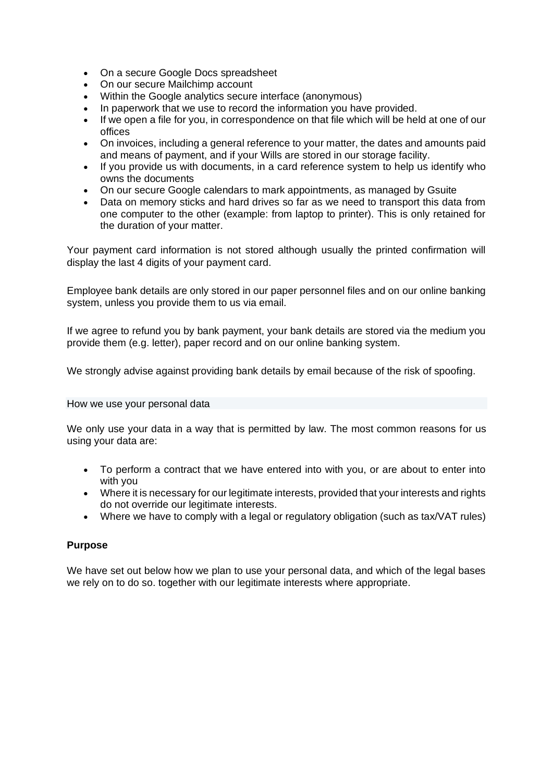- On a secure Google Docs spreadsheet
- On our secure Mailchimp account
- Within the Google analytics secure interface (anonymous)
- In paperwork that we use to record the information you have provided.
- If we open a file for you, in correspondence on that file which will be held at one of our offices
- On invoices, including a general reference to your matter, the dates and amounts paid and means of payment, and if your Wills are stored in our storage facility.
- If you provide us with documents, in a card reference system to help us identify who owns the documents
- On our secure Google calendars to mark appointments, as managed by Gsuite
- Data on memory sticks and hard drives so far as we need to transport this data from one computer to the other (example: from laptop to printer). This is only retained for the duration of your matter.

Your payment card information is not stored although usually the printed confirmation will display the last 4 digits of your payment card.

Employee bank details are only stored in our paper personnel files and on our online banking system, unless you provide them to us via email.

If we agree to refund you by bank payment, your bank details are stored via the medium you provide them (e.g. letter), paper record and on our online banking system.

We strongly advise against providing bank details by email because of the risk of spoofing.

## How we use your personal data

We only use your data in a way that is permitted by law. The most common reasons for us using your data are:

- To perform a contract that we have entered into with you, or are about to enter into with you
- Where it is necessary for our legitimate interests, provided that your interests and rights do not override our legitimate interests.
- Where we have to comply with a legal or regulatory obligation (such as tax/VAT rules)

# **Purpose**

We have set out below how we plan to use your personal data, and which of the legal bases we rely on to do so. together with our legitimate interests where appropriate.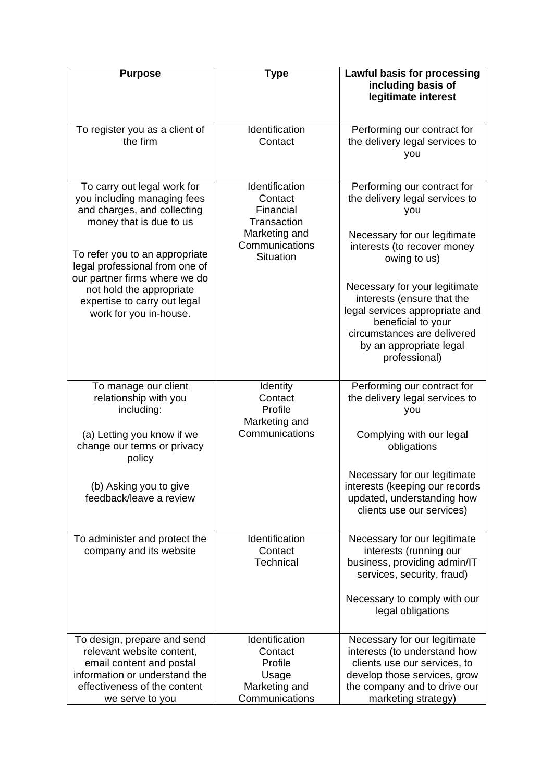| <b>Purpose</b>                                                                                                                                                                                                                                                                                                  | <b>Type</b>                                                                                                  | <b>Lawful basis for processing</b><br>including basis of<br>legitimate interest                                                                                                                                                                                                                                                                       |
|-----------------------------------------------------------------------------------------------------------------------------------------------------------------------------------------------------------------------------------------------------------------------------------------------------------------|--------------------------------------------------------------------------------------------------------------|-------------------------------------------------------------------------------------------------------------------------------------------------------------------------------------------------------------------------------------------------------------------------------------------------------------------------------------------------------|
| To register you as a client of<br>the firm                                                                                                                                                                                                                                                                      | Identification<br>Contact                                                                                    | Performing our contract for<br>the delivery legal services to<br>you                                                                                                                                                                                                                                                                                  |
| To carry out legal work for<br>you including managing fees<br>and charges, and collecting<br>money that is due to us<br>To refer you to an appropriate<br>legal professional from one of<br>our partner firms where we do<br>not hold the appropriate<br>expertise to carry out legal<br>work for you in-house. | Identification<br>Contact<br>Financial<br>Transaction<br>Marketing and<br>Communications<br><b>Situation</b> | Performing our contract for<br>the delivery legal services to<br>you<br>Necessary for our legitimate<br>interests (to recover money<br>owing to us)<br>Necessary for your legitimate<br>interests (ensure that the<br>legal services appropriate and<br>beneficial to your<br>circumstances are delivered<br>by an appropriate legal<br>professional) |
| To manage our client<br>relationship with you<br>including:<br>(a) Letting you know if we<br>change our terms or privacy<br>policy<br>(b) Asking you to give<br>feedback/leave a review                                                                                                                         | Identity<br>Contact<br>Profile<br>Marketing and<br>Communications                                            | Performing our contract for<br>the delivery legal services to<br>you<br>Complying with our legal<br>obligations<br>Necessary for our legitimate<br>interests (keeping our records<br>updated, understanding how<br>clients use our services)                                                                                                          |
| To administer and protect the<br>company and its website<br>To design, prepare and send                                                                                                                                                                                                                         | Identification<br>Contact<br>Technical<br>Identification                                                     | Necessary for our legitimate<br>interests (running our<br>business, providing admin/IT<br>services, security, fraud)<br>Necessary to comply with our<br>legal obligations<br>Necessary for our legitimate                                                                                                                                             |
| relevant website content,<br>email content and postal<br>information or understand the<br>effectiveness of the content<br>we serve to you                                                                                                                                                                       | Contact<br>Profile<br>Usage<br>Marketing and<br>Communications                                               | interests (to understand how<br>clients use our services, to<br>develop those services, grow<br>the company and to drive our<br>marketing strategy)                                                                                                                                                                                                   |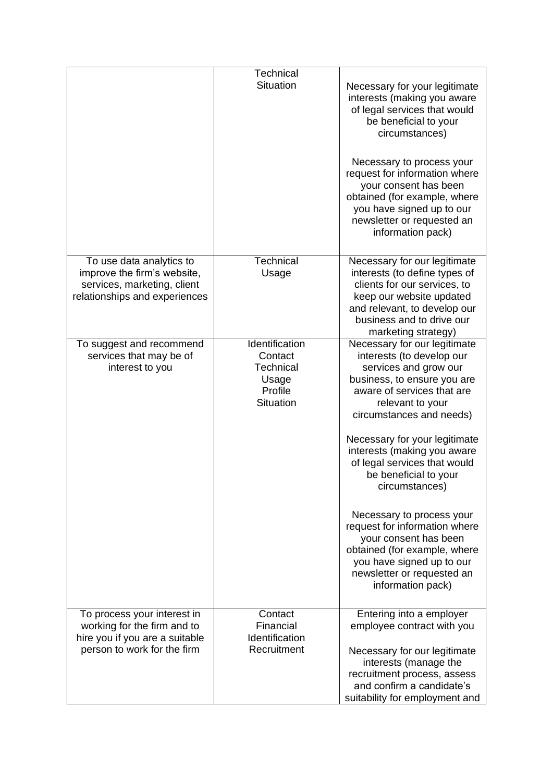|                                                                                                                             | Technical<br><b>Situation</b>                                                  | Necessary for your legitimate<br>interests (making you aware<br>of legal services that would<br>be beneficial to your<br>circumstances)<br>Necessary to process your<br>request for information where<br>your consent has been<br>obtained (for example, where<br>you have signed up to our<br>newsletter or requested an<br>information pack)                                                                                                                                                                                                    |
|-----------------------------------------------------------------------------------------------------------------------------|--------------------------------------------------------------------------------|---------------------------------------------------------------------------------------------------------------------------------------------------------------------------------------------------------------------------------------------------------------------------------------------------------------------------------------------------------------------------------------------------------------------------------------------------------------------------------------------------------------------------------------------------|
| To use data analytics to<br>improve the firm's website,<br>services, marketing, client<br>relationships and experiences     | Technical<br>Usage                                                             | Necessary for our legitimate<br>interests (to define types of<br>clients for our services, to<br>keep our website updated<br>and relevant, to develop our<br>business and to drive our<br>marketing strategy)                                                                                                                                                                                                                                                                                                                                     |
| To suggest and recommend<br>services that may be of<br>interest to you                                                      | Identification<br>Contact<br>Technical<br>Usage<br>Profile<br><b>Situation</b> | Necessary for our legitimate<br>interests (to develop our<br>services and grow our<br>business, to ensure you are<br>aware of services that are<br>relevant to your<br>circumstances and needs)<br>Necessary for your legitimate<br>interests (making you aware<br>of legal services that would<br>be beneficial to your<br>circumstances)<br>Necessary to process your<br>request for information where<br>your consent has been<br>obtained (for example, where<br>you have signed up to our<br>newsletter or requested an<br>information pack) |
| To process your interest in<br>working for the firm and to<br>hire you if you are a suitable<br>person to work for the firm | Contact<br>Financial<br>Identification<br>Recruitment                          | Entering into a employer<br>employee contract with you<br>Necessary for our legitimate<br>interests (manage the<br>recruitment process, assess<br>and confirm a candidate's<br>suitability for employment and                                                                                                                                                                                                                                                                                                                                     |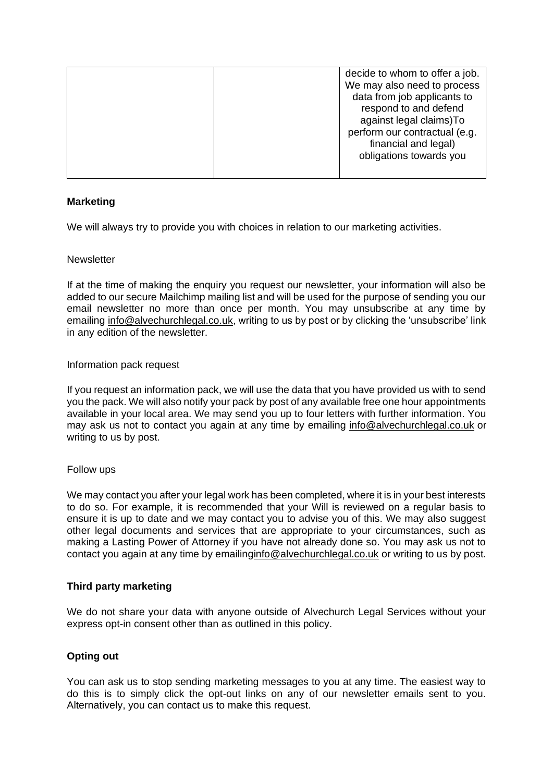|  | decide to whom to offer a job. |
|--|--------------------------------|
|  | We may also need to process    |
|  | data from job applicants to    |
|  | respond to and defend          |
|  | against legal claims) To       |
|  | perform our contractual (e.g.  |
|  | financial and legal)           |
|  | obligations towards you        |
|  |                                |
|  |                                |

# **Marketing**

We will always try to provide you with choices in relation to our marketing activities.

## **Newsletter**

If at the time of making the enquiry you request our newsletter, your information will also be added to our secure Mailchimp mailing list and will be used for the purpose of sending you our email newsletter no more than once per month. You may unsubscribe at any time by emailing [info@alvechurchlegal.co.uk,](mailto:info@alvechurchlegal.co.uk) writing to us by post or by clicking the 'unsubscribe' link in any edition of the newsletter.

## Information pack request

If you request an information pack, we will use the data that you have provided us with to send you the pack. We will also notify your pack by post of any available free one hour appointments available in your local area. We may send you up to four letters with further information. You may ask us not to contact you again at any time by emailing [info@alvechurchlegal.co.uk](mailto:info@alvechurchlegal.co.uk) or writing to us by post.

## Follow ups

We may contact you after your legal work has been completed, where it is in your best interests to do so. For example, it is recommended that your Will is reviewed on a regular basis to ensure it is up to date and we may contact you to advise you of this. We may also suggest other legal documents and services that are appropriate to your circumstances, such as making a Lasting Power of Attorney if you have not already done so. You may ask us not to contact you again at any time by emailin[ginfo@alvechurchlegal.co.uk](mailto:info@alvechurchlegal.co.uk) or writing to us by post.

# **Third party marketing**

We do not share your data with anyone outside of Alvechurch Legal Services without your express opt-in consent other than as outlined in this policy.

# **Opting out**

You can ask us to stop sending marketing messages to you at any time. The easiest way to do this is to simply click the opt-out links on any of our newsletter emails sent to you. Alternatively, you can contact us to make this request.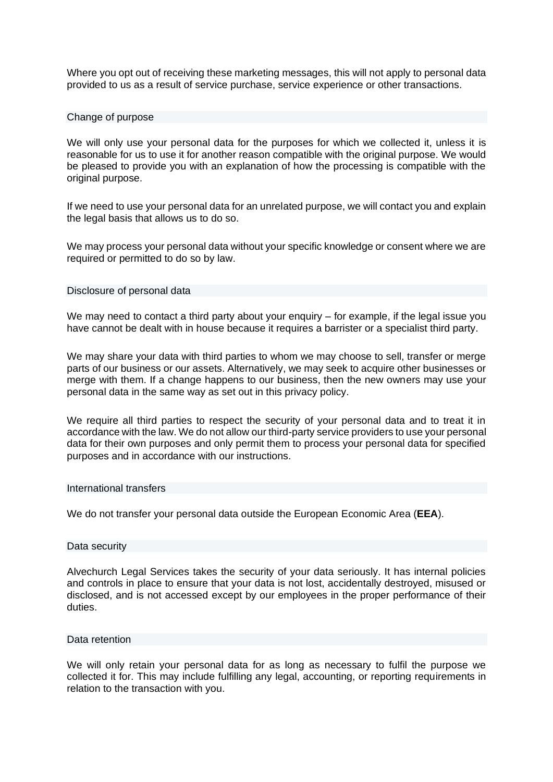Where you opt out of receiving these marketing messages, this will not apply to personal data provided to us as a result of service purchase, service experience or other transactions.

## Change of purpose

We will only use your personal data for the purposes for which we collected it, unless it is reasonable for us to use it for another reason compatible with the original purpose. We would be pleased to provide you with an explanation of how the processing is compatible with the original purpose.

If we need to use your personal data for an unrelated purpose, we will contact you and explain the legal basis that allows us to do so.

We may process your personal data without your specific knowledge or consent where we are required or permitted to do so by law.

#### Disclosure of personal data

We may need to contact a third party about your enquiry – for example, if the legal issue you have cannot be dealt with in house because it requires a barrister or a specialist third party.

We may share your data with third parties to whom we may choose to sell, transfer or merge parts of our business or our assets. Alternatively, we may seek to acquire other businesses or merge with them. If a change happens to our business, then the new owners may use your personal data in the same way as set out in this privacy policy.

We require all third parties to respect the security of your personal data and to treat it in accordance with the law. We do not allow our third-party service providers to use your personal data for their own purposes and only permit them to process your personal data for specified purposes and in accordance with our instructions.

#### International transfers

We do not transfer your personal data outside the European Economic Area (**EEA**).

#### Data security

Alvechurch Legal Services takes the security of your data seriously. It has internal policies and controls in place to ensure that your data is not lost, accidentally destroyed, misused or disclosed, and is not accessed except by our employees in the proper performance of their duties.

#### Data retention

We will only retain your personal data for as long as necessary to fulfil the purpose we collected it for. This may include fulfilling any legal, accounting, or reporting requirements in relation to the transaction with you.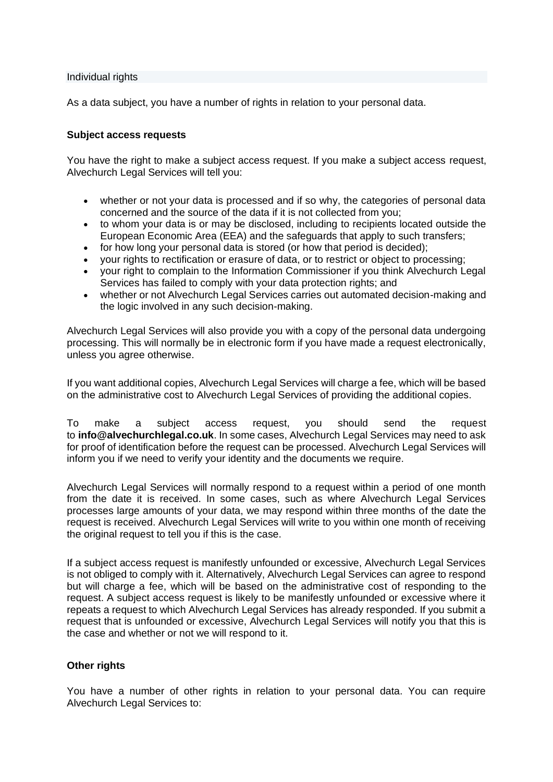Individual rights

As a data subject, you have a number of rights in relation to your personal data.

## **Subject access requests**

You have the right to make a subject access request. If you make a subject access request, Alvechurch Legal Services will tell you:

- whether or not your data is processed and if so why, the categories of personal data concerned and the source of the data if it is not collected from you;
- to whom your data is or may be disclosed, including to recipients located outside the European Economic Area (EEA) and the safeguards that apply to such transfers;
- for how long your personal data is stored (or how that period is decided);
- your rights to rectification or erasure of data, or to restrict or object to processing;
- your right to complain to the Information Commissioner if you think Alvechurch Legal Services has failed to comply with your data protection rights; and
- whether or not Alvechurch Legal Services carries out automated decision-making and the logic involved in any such decision-making.

Alvechurch Legal Services will also provide you with a copy of the personal data undergoing processing. This will normally be in electronic form if you have made a request electronically, unless you agree otherwise.

If you want additional copies, Alvechurch Legal Services will charge a fee, which will be based on the administrative cost to Alvechurch Legal Services of providing the additional copies.

To make a subject access request, you should send the request to **info@alvechurchlegal.co.uk**. In some cases, Alvechurch Legal Services may need to ask for proof of identification before the request can be processed. Alvechurch Legal Services will inform you if we need to verify your identity and the documents we require.

Alvechurch Legal Services will normally respond to a request within a period of one month from the date it is received. In some cases, such as where Alvechurch Legal Services processes large amounts of your data, we may respond within three months of the date the request is received. Alvechurch Legal Services will write to you within one month of receiving the original request to tell you if this is the case.

If a subject access request is manifestly unfounded or excessive, Alvechurch Legal Services is not obliged to comply with it. Alternatively, Alvechurch Legal Services can agree to respond but will charge a fee, which will be based on the administrative cost of responding to the request. A subject access request is likely to be manifestly unfounded or excessive where it repeats a request to which Alvechurch Legal Services has already responded. If you submit a request that is unfounded or excessive, Alvechurch Legal Services will notify you that this is the case and whether or not we will respond to it.

# **Other rights**

You have a number of other rights in relation to your personal data. You can require Alvechurch Legal Services to: